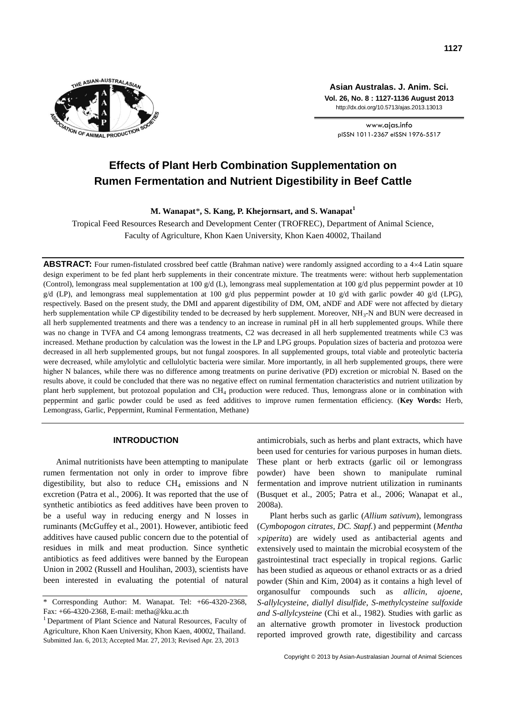

**Asian Australas. J. Anim. Sci. Vol. 26, No. 8 : 1127-1136 August 2013** http://dx.doi.org/10.5713/ajas.2013.13013

www.ajas.info pISSN 1011-2367 eISSN 1976-5517

# **Effects of Plant Herb Combination Supplementation on Rumen Fermentation and Nutrient Digestibility in Beef Cattle**

**M. Wanapat**\***, S. Kang, P. Khejornsart, and S. Wanapat<sup>1</sup>**

Tropical Feed Resources Research and Development Center (TROFREC), Department of Animal Science, Faculty of Agriculture, Khon Kaen University, Khon Kaen 40002, Thailand

**ABSTRACT:** Four rumen-fistulated crossbred beef cattle (Brahman native) were randomly assigned according to a 4×4 Latin square design experiment to be fed plant herb supplements in their concentrate mixture. The treatments were: without herb supplementation (Control), lemongrass meal supplementation at 100  $g/d$  (L), lemongrass meal supplementation at 100  $g/d$  plus peppermint powder at 10  $g/d$  (LP), and lemongrass meal supplementation at 100  $g/d$  plus peppermint powder at 10  $g/d$  with garlic powder 40  $g/d$  (LPG), respectively. Based on the present study, the DMI and apparent digestibility of DM, OM, aNDF and ADF were not affected by dietary herb supplementation while CP digestibility tended to be decreased by herb supplement. Moreover, NH<sub>3</sub>-N and BUN were decreased in all herb supplemented treatments and there was a tendency to an increase in ruminal pH in all herb supplemented groups. While there was no change in TVFA and C4 among lemongrass treatments, C2 was decreased in all herb supplemented treatments while C3 was increased. Methane production by calculation was the lowest in the LP and LPG groups. Population sizes of bacteria and protozoa were decreased in all herb supplemented groups, but not fungal zoospores. In all supplemented groups, total viable and proteolytic bacteria were decreased, while amylolytic and cellulolytic bacteria were similar. More importantly, in all herb supplemented groups, there were higher N balances, while there was no difference among treatments on purine derivative (PD) excretion or microbial N. Based on the results above, it could be concluded that there was no negative effect on ruminal fermentation characteristics and nutrient utilization by plant herb supplement, but protozoal population and CH<sup>4</sup> production were reduced. Thus, lemongrass alone or in combination with peppermint and garlic powder could be used as feed additives to improve rumen fermentation efficiency. (**Key Words:** Herb, Lemongrass, Garlic, Peppermint, Ruminal Fermentation, Methane)

## **INTRODUCTION**

Animal nutritionists have been attempting to manipulate rumen fermentation not only in order to improve fibre digestibility, but also to reduce  $CH<sub>4</sub>$  emissions and N excretion (Patra et al., 2006). It was reported that the use of synthetic antibiotics as feed additives have been proven to be a useful way in reducing energy and N losses in ruminants (McGuffey et al., 2001). However, antibiotic feed additives have caused public concern due to the potential of residues in milk and meat production. Since synthetic antibiotics as feed additives were banned by the European Union in 2002 (Russell and Houlihan, 2003), scientists have been interested in evaluating the potential of natural antimicrobials, such as herbs and plant extracts, which have been used for centuries for various purposes in human diets. These plant or herb extracts (garlic oil or lemongrass powder) have been shown to manipulate ruminal fermentation and improve nutrient utilization in ruminants (Busquet et al., 2005; Patra et al., 2006; Wanapat et al., 2008a).

Plant herbs such as garlic (*Allium sativum*), lemongrass (*Cymbopogon citrates, DC. Stapf.*) and peppermint (*Mentha xpiperita*) are widely used as antibacterial agents and extensively used to maintain the microbial ecosystem of the gastrointestinal tract especially in tropical regions. Garlic has been studied as aqueous or ethanol extracts or as a dried powder (Shin and Kim, 2004) as it contains a high level of organosulfur compounds such as *allicin*, *ajoene*, *S-allylcysteine*, *diallyl disulfide*, *S-methylcysteine sulfoxide and S-allylcysteine* (Chi et al., 1982). Studies with garlic as an alternative growth promoter in livestock production reported improved growth rate, digestibility and carcass

<sup>\*</sup> Corresponding Author: M. Wanapat. Tel: +66-4320-2368, Fax: +66-4320-2368, E-mail: metha@kku.ac.th

<sup>&</sup>lt;sup>1</sup> Department of Plant Science and Natural Resources, Faculty of Agriculture, Khon Kaen University, Khon Kaen, 40002, Thailand. Submitted Jan. 6, 2013; Accepted Mar. 27, 2013; Revised Apr. 23, 2013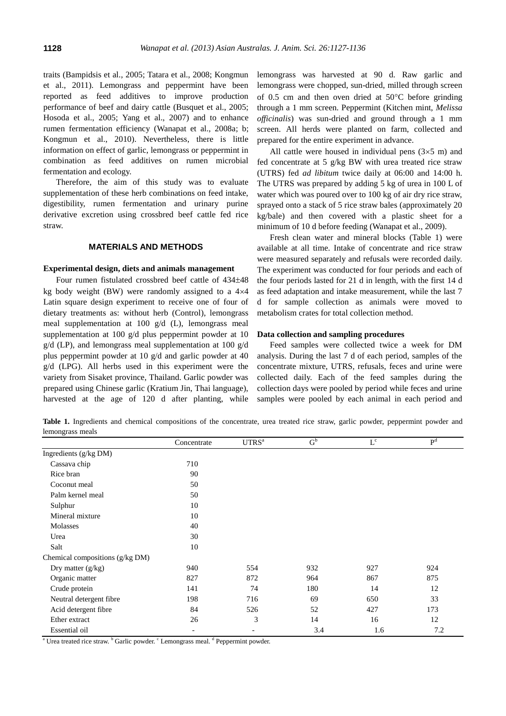traits (Bampidsis et al., 2005; Tatara et al., 2008; Kongmun et al., 2011). Lemongrass and peppermint have been reported as feed additives to improve production performance of beef and dairy cattle (Busquet et al., 2005; Hosoda et al., 2005; Yang et al., 2007) and to enhance rumen fermentation efficiency (Wanapat et al., 2008a; b; Kongmun et al., 2010). Nevertheless, there is little information on effect of garlic, lemongrass or peppermint in combination as feed additives on rumen microbial fermentation and ecology.

Therefore, the aim of this study was to evaluate supplementation of these herb combinations on feed intake, digestibility, rumen fermentation and urinary purine derivative excretion using crossbred beef cattle fed rice straw.

# **MATERIALS AND METHODS**

#### **Experimental design, diets and animals management**

Four rumen fistulated crossbred beef cattle of  $434\pm48$ kg body weight (BW) were randomly assigned to a  $4\times4$ Latin square design experiment to receive one of four of dietary treatments as: without herb (Control), lemongrass meal supplementation at 100 g/d (L), lemongrass meal supplementation at 100 g/d plus peppermint powder at 10 g/d (LP), and lemongrass meal supplementation at 100 g/d plus peppermint powder at 10 g/d and garlic powder at 40 g/d (LPG). All herbs used in this experiment were the variety from Sisaket province, Thailand. Garlic powder was prepared using Chinese garlic (Kratium Jin, Thai language), harvested at the age of 120 d after planting, while

lemongrass was harvested at 90 d. Raw garlic and lemongrass were chopped, sun-dried, milled through screen of 0.5 cm and then oven dried at  $50^{\circ}$ C before grinding through a 1 mm screen. Peppermint (Kitchen mint, *Melissa officinalis*) was sun-dried and ground through a 1 mm screen. All herds were planted on farm, collected and prepared for the entire experiment in advance.

All cattle were housed in individual pens  $(3\times5 \text{ m})$  and fed concentrate at 5 g/kg BW with urea treated rice straw (UTRS) fed *ad libitum* twice daily at 06:00 and 14:00 h. The UTRS was prepared by adding 5 kg of urea in 100 L of water which was poured over to 100 kg of air dry rice straw, sprayed onto a stack of 5 rice straw bales (approximately 20 kg/bale) and then covered with a plastic sheet for a minimum of 10 d before feeding (Wanapat et al., 2009).

Fresh clean water and mineral blocks (Table 1) were available at all time. Intake of concentrate and rice straw were measured separately and refusals were recorded daily. The experiment was conducted for four periods and each of the four periods lasted for 21 d in length, with the first 14 d as feed adaptation and intake measurement, while the last 7 d for sample collection as animals were moved to metabolism crates for total collection method.

#### **Data collection and sampling procedures**

Feed samples were collected twice a week for DM analysis. During the last 7 d of each period, samples of the concentrate mixture, UTRS, refusals, feces and urine were collected daily. Each of the feed samples during the collection days were pooled by period while feces and urine samples were pooled by each animal in each period and

**Table 1.** Ingredients and chemical compositions of the concentrate, urea treated rice straw, garlic powder, peppermint powder and lemongrass meals

|                                 | Concentrate              | UTRS <sup>a</sup> | G <sub>p</sub> | $L^c$ | P <sup>d</sup> |
|---------------------------------|--------------------------|-------------------|----------------|-------|----------------|
| Ingredients (g/kg DM)           |                          |                   |                |       |                |
| Cassava chip                    | 710                      |                   |                |       |                |
| Rice bran                       | 90                       |                   |                |       |                |
| Coconut meal                    | 50                       |                   |                |       |                |
| Palm kernel meal                | 50                       |                   |                |       |                |
| Sulphur                         | 10                       |                   |                |       |                |
| Mineral mixture                 | 10                       |                   |                |       |                |
| Molasses                        | 40                       |                   |                |       |                |
| Urea                            | 30                       |                   |                |       |                |
| Salt                            | 10                       |                   |                |       |                |
| Chemical compositions (g/kg DM) |                          |                   |                |       |                |
| Dry matter $(g/kg)$             | 940                      | 554               | 932            | 927   | 924            |
| Organic matter                  | 827                      | 872               | 964            | 867   | 875            |
| Crude protein                   | 141                      | 74                | 180            | 14    | 12             |
| Neutral detergent fibre         | 198                      | 716               | 69             | 650   | 33             |
| Acid detergent fibre            | 84                       | 526               | 52             | 427   | 173            |
| Ether extract                   | 26                       | 3                 | 14             | 16    | 12             |
| Essential oil                   | $\overline{\phantom{a}}$ |                   | 3.4            | 1.6   | 7.2            |

<sup>a</sup> Urea treated rice straw. <sup>b</sup> Garlic powder. <sup>c</sup> Lemongrass meal. <sup>d</sup> Peppermint powder.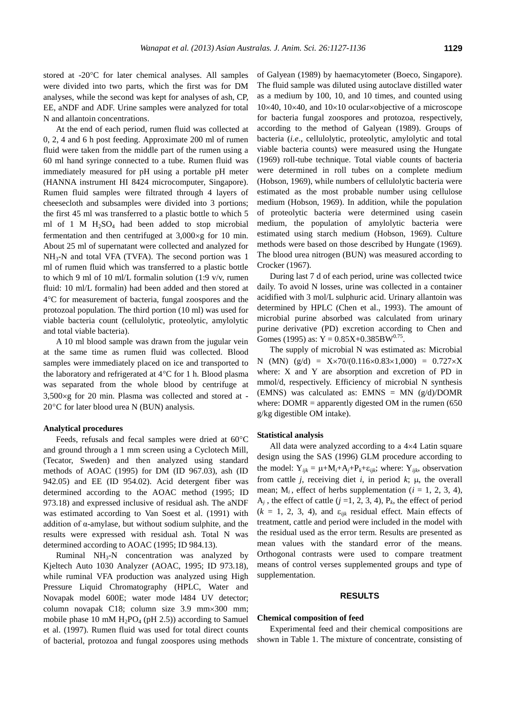stored at  $-20^{\circ}$ C for later chemical analyses. All samples were divided into two parts, which the first was for DM analyses, while the second was kept for analyses of ash, CP, EE, aNDF and ADF. Urine samples were analyzed for total N and allantoin concentrations.

At the end of each period, rumen fluid was collected at 0, 2, 4 and 6 h post feeding. Approximate 200 ml of rumen fluid were taken from the middle part of the rumen using a 60 ml hand syringe connected to a tube. Rumen fluid was immediately measured for pH using a portable pH meter (HANNA instrument HI 8424 microcomputer, Singapore). Rumen fluid samples were filtrated through 4 layers of cheesecloth and subsamples were divided into 3 portions; the first 45 ml was transferred to a plastic bottle to which 5 ml of 1 M  $H_2SO_4$  had been added to stop microbial fermentation and then centrifuged at  $3,000 \times g$  for 10 min. About 25 ml of supernatant were collected and analyzed for  $NH<sub>3</sub>-N$  and total VFA (TVFA). The second portion was 1 ml of rumen fluid which was transferred to a plastic bottle to which 9 ml of 10 ml/L formalin solution (1:9 v/v, rumen fluid: 10 ml/L formalin) had been added and then stored at 4C for measurement of bacteria, fungal zoospores and the protozoal population. The third portion (10 ml) was used for viable bacteria count (cellulolytic, proteolytic, amylolytic and total viable bacteria).

A 10 ml blood sample was drawn from the jugular vein at the same time as rumen fluid was collected. Blood samples were immediately placed on ice and transported to the laboratory and refrigerated at  $4^{\circ}$ C for 1 h. Blood plasma was separated from the whole blood by centrifuge at  $3,500 \times g$  for 20 min. Plasma was collected and stored at - $20^{\circ}$ C for later blood urea N (BUN) analysis.

#### **Analytical procedures**

Feeds, refusals and fecal samples were dried at  $60^{\circ}$ C and ground through a 1 mm screen using a Cyclotech Mill, (Tecator, Sweden) and then analyzed using standard methods of AOAC (1995) for DM (ID 967.03), ash (ID 942.05) and EE (ID 954.02). Acid detergent fiber was determined according to the AOAC method (1995; ID 973.18) and expressed inclusive of residual ash. The aNDF was estimated according to Van Soest et al. (1991) with addition of  $\alpha$ -amylase, but without sodium sulphite, and the results were expressed with residual ash. Total N was determined according to AOAC (1995; ID 984.13).

Ruminal  $NH<sub>3</sub>-N$  concentration was analyzed by Kjeltech Auto 1030 Analyzer (AOAC, 1995; ID 973.18), while ruminal VFA production was analyzed using High Pressure Liquid Chromatography (HPLC, Water and Novapak model 600E; water mode l484 UV detector; column novapak C18; column size 3.9 mm×300 mm; mobile phase 10 mM  $H_2PO_4$  (pH 2.5)) according to Samuel et al. (1997). Rumen fluid was used for total direct counts of bacterial, protozoa and fungal zoospores using methods of Galyean (1989) by haemacytometer (Boeco, Singapore). The fluid sample was diluted using autoclave distilled water as a medium by 100, 10, and 10 times, and counted using  $10\times40$ ,  $10\times40$ , and  $10\times10$  ocular×objective of a microscope for bacteria fungal zoospores and protozoa, respectively, according to the method of Galyean (1989). Groups of bacteria (*i.e*., cellulolytic, proteolytic, amylolytic and total viable bacteria counts) were measured using the Hungate (1969) roll-tube technique. Total viable counts of bacteria were determined in roll tubes on a complete medium (Hobson, 1969), while numbers of cellulolytic bacteria were estimated as the most probable number using cellulose medium (Hobson, 1969). In addition, while the population of proteolytic bacteria were determined using casein medium, the population of amylolytic bacteria were estimated using starch medium (Hobson, 1969). Culture methods were based on those described by Hungate (1969). The blood urea nitrogen (BUN) was measured according to Crocker (1967).

During last 7 d of each period, urine was collected twice daily. To avoid N losses, urine was collected in a container acidified with 3 mol/L sulphuric acid. Urinary allantoin was determined by HPLC (Chen et al., 1993). The amount of microbial purine absorbed was calculated from urinary purine derivative (PD) excretion according to Chen and Gomes (1995) as:  $Y = 0.85X + 0.385BW^{0.75}$ .

The supply of microbial N was estimated as: Microbial N (MN) (g/d) =  $X \times 70/(0.116 \times 0.83 \times 1{,}000) = 0.727 \times X$ where: X and Y are absorption and excretion of PD in mmol/d, respectively. Efficiency of microbial N synthesis (EMNS) was calculated as: EMNS = MN  $(g/d)/DOMR$ where:  $DOMR =$  apparently digested OM in the rumen (650) g/kg digestible OM intake).

#### **Statistical analysis**

All data were analyzed according to a  $4\times4$  Latin square design using the SAS (1996) GLM procedure according to the model:  $Y_{ijk} = \mu + M_i + A_j + P_k + \varepsilon_{ijk}$ ; where:  $Y_{ijk}$ , observation from cattle *j*, receiving diet *i*, in period  $k$ ;  $\mu$ , the overall mean;  $M_i$ , effect of herbs supplementation ( $i = 1, 2, 3, 4$ ),  $A_j$ , the effect of cattle ( $j = 1, 2, 3, 4$ ),  $P_k$ , the effect of period  $(k = 1, 2, 3, 4)$ , and  $\varepsilon_{ijk}$  residual effect. Main effects of treatment, cattle and period were included in the model with the residual used as the error term. Results are presented as mean values with the standard error of the means. Orthogonal contrasts were used to compare treatment means of control verses supplemented groups and type of supplementation.

#### **RESULTS**

## **Chemical composition of feed**

Experimental feed and their chemical compositions are shown in Table 1. The mixture of concentrate, consisting of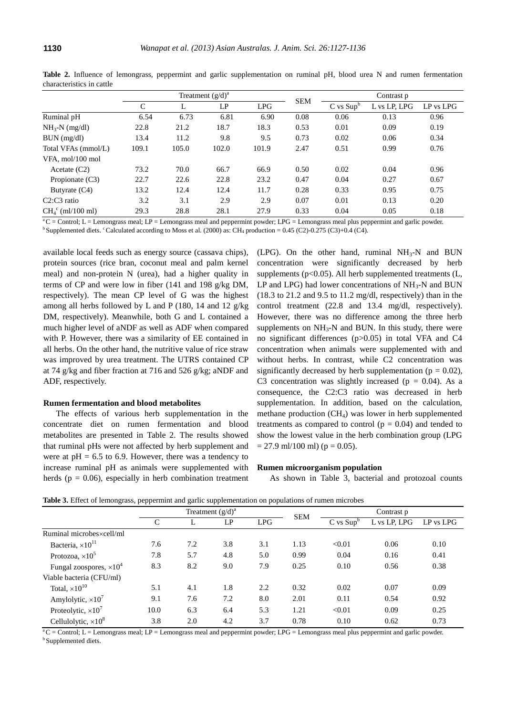|                      | Treatment $(g/d)^a$ |       |       |       | <b>SEM</b> | Contrast p    |              |               |
|----------------------|---------------------|-------|-------|-------|------------|---------------|--------------|---------------|
|                      | C                   | L     | LP    | LPG   |            | $C$ vs $Supb$ | L vs LP, LPG | $LP$ vs $LPG$ |
| Ruminal pH           | 6.54                | 6.73  | 6.81  | 6.90  | 0.08       | 0.06          | 0.13         | 0.96          |
| $NH_{3}$ -N (mg/dl)  | 22.8                | 21.2  | 18.7  | 18.3  | 0.53       | 0.01          | 0.09         | 0.19          |
| BUN (mg/dl)          | 13.4                | 11.2  | 9.8   | 9.5   | 0.73       | 0.02          | 0.06         | 0.34          |
| Total VFAs (mmol/L)  | 109.1               | 105.0 | 102.0 | 101.9 | 2.47       | 0.51          | 0.99         | 0.76          |
| VFA, mol/100 mol     |                     |       |       |       |            |               |              |               |
| Acetate $(C2)$       | 73.2                | 70.0  | 66.7  | 66.9  | 0.50       | 0.02          | 0.04         | 0.96          |
| Propionate $(C3)$    | 22.7                | 22.6  | 22.8  | 23.2  | 0.47       | 0.04          | 0.27         | 0.67          |
| Butyrate $(C4)$      | 13.2                | 12.4  | 12.4  | 11.7  | 0.28       | 0.33          | 0.95         | 0.75          |
| $C2:C3$ ratio        | 3.2                 | 3.1   | 2.9   | 2.9   | 0.07       | 0.01          | 0.13         | 0.20          |
| $CH_4^c$ (ml/100 ml) | 29.3                | 28.8  | 28.1  | 27.9  | 0.33       | 0.04          | 0.05         | 0.18          |

**Table 2.** Influence of lemongrass, peppermint and garlic supplementation on ruminal pH, blood urea N and rumen fermentation characteristics in cattle

 $^{\circ}$ C = Control; L = Lemongrass meal; LP = Lemongrass meal and peppermint powder; LPG = Lemongrass meal plus peppermint and garlic powder.

<sup>b</sup>Supplemented diets. <sup>c</sup>Calculated according to Moss et al. (2000) as: CH<sub>4</sub> production = 0.45 (C2)-0.275 (C3)+0.4 (C4).

available local feeds such as energy source (cassava chips), protein sources (rice bran, coconut meal and palm kernel meal) and non-protein N (urea), had a higher quality in terms of CP and were low in fiber (141 and 198 g/kg DM, respectively). The mean CP level of G was the highest among all herbs followed by L and P (180, 14 and 12  $g/kg$ ) DM, respectively). Meanwhile, both G and L contained a much higher level of aNDF as well as ADF when compared with P. However, there was a similarity of EE contained in all herbs. On the other hand, the nutritive value of rice straw was improved by urea treatment. The UTRS contained CP at 74 g/kg and fiber fraction at 716 and 526 g/kg; aNDF and ADF, respectively.

#### **Rumen fermentation and blood metabolites**

The effects of various herb supplementation in the concentrate diet on rumen fermentation and blood metabolites are presented in Table 2. The results showed that ruminal pHs were not affected by herb supplement and were at  $pH = 6.5$  to 6.9. However, there was a tendency to increase ruminal pH as animals were supplemented with herds ( $p = 0.06$ ), especially in herb combination treatment

(LPG). On the other hand, ruminal  $NH<sub>3</sub>-N$  and BUN concentration were significantly decreased by herb supplements ( $p<0.05$ ). All herb supplemented treatments ( $L$ , LP and LPG) had lower concentrations of  $NH<sub>3</sub>-N$  and BUN (18.3 to 21.2 and 9.5 to 11.2 mg/dl, respectively) than in the control treatment (22.8 and 13.4 mg/dl, respectively). However, there was no difference among the three herb supplements on  $NH<sub>3</sub>-N$  and BUN. In this study, there were no significant differences (p>0.05) in total VFA and C4 concentration when animals were supplemented with and without herbs. In contrast, while C2 concentration was significantly decreased by herb supplementation ( $p = 0.02$ ), C3 concentration was slightly increased ( $p = 0.04$ ). As a consequence, the C2:C3 ratio was decreased in herb supplementation. In addition, based on the calculation, methane production  $(CH<sub>4</sub>)$  was lower in herb supplemented treatments as compared to control  $(p = 0.04)$  and tended to show the lowest value in the herb combination group (LPG  $= 27.9$  ml/100 ml) (p  $= 0.05$ ).

#### **Rumen microorganism population**

As shown in Table 3, bacterial and protozoal counts

|                                 | Treatment $(g/d)^a$ |     |     |     |            | Contrast p    |              |           |  |
|---------------------------------|---------------------|-----|-----|-----|------------|---------------|--------------|-----------|--|
|                                 | C                   |     | LP  | LPG | <b>SEM</b> | $C$ vs $Supb$ | L vs LP, LPG | LP vs LPG |  |
| Ruminal microbesxcell/ml        |                     |     |     |     |            |               |              |           |  |
| Bacteria, $\times 10^{11}$      | 7.6                 | 7.2 | 3.8 | 3.1 | 1.13       | < 0.01        | 0.06         | 0.10      |  |
| Protozoa, $\times 10^5$         | 7.8                 | 5.7 | 4.8 | 5.0 | 0.99       | 0.04          | 0.16         | 0.41      |  |
| Fungal zoospores, $\times 10^4$ | 8.3                 | 8.2 | 9.0 | 7.9 | 0.25       | 0.10          | 0.56         | 0.38      |  |
| Viable bacteria (CFU/ml)        |                     |     |     |     |            |               |              |           |  |
| Total, $\times 10^{10}$         | 5.1                 | 4.1 | 1.8 | 2.2 | 0.32       | 0.02          | 0.07         | 0.09      |  |
| Amylolytic, $\times 10^7$       | 9.1                 | 7.6 | 7.2 | 8.0 | 2.01       | 0.11          | 0.54         | 0.92      |  |
| Proteolytic, $\times 10^7$      | 10.0                | 6.3 | 6.4 | 5.3 | 1.21       | < 0.01        | 0.09         | 0.25      |  |
| Cellulolytic, $\times 10^8$     | 3.8                 | 2.0 | 4.2 | 3.7 | 0.78       | 0.10          | 0.62         | 0.73      |  |

**Table 3.** Effect of lemongrass, peppermint and garlic supplementation on populations of rumen microbes

 $a^C =$ Control; L = Lemongrass meal; LP = Lemongrass meal and peppermint powder; LPG = Lemongrass meal plus peppermint and garlic powder. <sup>b</sup> Supplemented diets.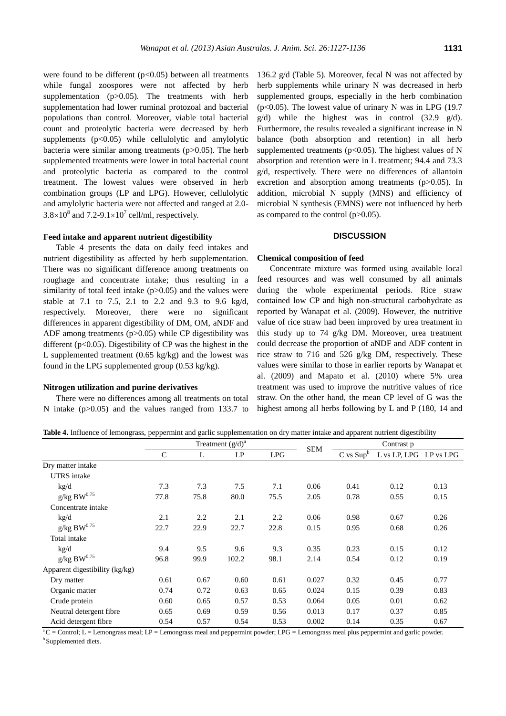were found to be different  $(p<0.05)$  between all treatments while fungal zoospores were not affected by herb supplementation (p>0.05). The treatments with herb supplementation had lower ruminal protozoal and bacterial populations than control. Moreover, viable total bacterial count and proteolytic bacteria were decreased by herb supplements (p<0.05) while cellulolytic and amylolytic bacteria were similar among treatments  $(p>0.05)$ . The herb supplemented treatments were lower in total bacterial count and proteolytic bacteria as compared to the control treatment. The lowest values were observed in herb combination groups (LP and LPG). However, cellulolytic and amylolytic bacteria were not affected and ranged at 2.0-  $3.8 \times 10^8$  and  $7.2 - 9.1 \times 10^7$  cell/ml, respectively.

## **Feed intake and apparent nutrient digestibility**

Table 4 presents the data on daily feed intakes and nutrient digestibility as affected by herb supplementation. There was no significant difference among treatments on roughage and concentrate intake; thus resulting in a similarity of total feed intake  $(p>0.05)$  and the values were stable at 7.1 to 7.5, 2.1 to 2.2 and 9.3 to 9.6 kg/d, respectively. Moreover, there were no significant differences in apparent digestibility of DM, OM, aNDF and ADF among treatments  $(p>0.05)$  while CP digestibility was different (p<0.05). Digestibility of CP was the highest in the L supplemented treatment (0.65 kg/kg) and the lowest was found in the LPG supplemented group (0.53 kg/kg).

#### **Nitrogen utilization and purine derivatives**

There were no differences among all treatments on total N intake (p>0.05) and the values ranged from 133.7 to 136.2 g/d (Table 5). Moreover, fecal N was not affected by herb supplements while urinary N was decreased in herb supplemented groups, especially in the herb combination ( $p<0.05$ ). The lowest value of urinary N was in LPG (19.7)  $g/d$ ) while the highest was in control (32.9  $g/d$ ). Furthermore, the results revealed a significant increase in N balance (both absorption and retention) in all herb supplemented treatments ( $p<0.05$ ). The highest values of N absorption and retention were in L treatment; 94.4 and 73.3 g/d, respectively. There were no differences of allantoin excretion and absorption among treatments (p>0.05). In addition, microbial N supply (MNS) and efficiency of microbial N synthesis (EMNS) were not influenced by herb as compared to the control  $(p>0.05)$ .

# **DISCUSSION**

## **Chemical composition of feed**

Concentrate mixture was formed using available local feed resources and was well consumed by all animals during the whole experimental periods. Rice straw contained low CP and high non-structural carbohydrate as reported by Wanapat et al. (2009). However, the nutritive value of rice straw had been improved by urea treatment in this study up to 74 g/kg DM. Moreover, urea treatment could decrease the proportion of aNDF and ADF content in rice straw to 716 and 526 g/kg DM, respectively. These values were similar to those in earlier reports by Wanapat et al. (2009) and Mapato et al. (2010) where 5% urea treatment was used to improve the nutritive values of rice straw. On the other hand, the mean CP level of G was the highest among all herbs following by L and P (180, 14 and

**Table 4.** Influence of lemongrass, peppermint and garlic supplementation on dry matter intake and apparent nutrient digestibility

|                                | Treatment $(g/d)^a$ |      |       |            |            | Contrast p    |              |           |
|--------------------------------|---------------------|------|-------|------------|------------|---------------|--------------|-----------|
|                                | $\mathsf{C}$        | L    | LP    | <b>LPG</b> | <b>SEM</b> | $C$ vs $Supb$ | L vs LP, LPG | LP vs LPG |
| Dry matter intake              |                     |      |       |            |            |               |              |           |
| <b>UTRS</b> intake             |                     |      |       |            |            |               |              |           |
| kg/d                           | 7.3                 | 7.3  | 7.5   | 7.1        | 0.06       | 0.41          | 0.12         | 0.13      |
| g/kg B $W^{0.75}$              | 77.8                | 75.8 | 80.0  | 75.5       | 2.05       | 0.78          | 0.55         | 0.15      |
| Concentrate intake             |                     |      |       |            |            |               |              |           |
| kg/d                           | 2.1                 | 2.2  | 2.1   | 2.2        | 0.06       | 0.98          | 0.67         | 0.26      |
| g/kg B $W^{0.75}$              | 22.7                | 22.9 | 22.7  | 22.8       | 0.15       | 0.95          | 0.68         | 0.26      |
| Total intake                   |                     |      |       |            |            |               |              |           |
| kg/d                           | 9.4                 | 9.5  | 9.6   | 9.3        | 0.35       | 0.23          | 0.15         | 0.12      |
| g/kg B $W^{0.75}$              | 96.8                | 99.9 | 102.2 | 98.1       | 2.14       | 0.54          | 0.12         | 0.19      |
| Apparent digestibility (kg/kg) |                     |      |       |            |            |               |              |           |
| Dry matter                     | 0.61                | 0.67 | 0.60  | 0.61       | 0.027      | 0.32          | 0.45         | 0.77      |
| Organic matter                 | 0.74                | 0.72 | 0.63  | 0.65       | 0.024      | 0.15          | 0.39         | 0.83      |
| Crude protein                  | 0.60                | 0.65 | 0.57  | 0.53       | 0.064      | 0.05          | 0.01         | 0.62      |
| Neutral detergent fibre        | 0.65                | 0.69 | 0.59  | 0.56       | 0.013      | 0.17          | 0.37         | 0.85      |
| Acid detergent fibre           | 0.54                | 0.57 | 0.54  | 0.53       | 0.002      | 0.14          | 0.35         | 0.67      |

<sup>a</sup>C = Control; L = Lemongrass meal; LP = Lemongrass meal and peppermint powder; LPG = Lemongrass meal plus peppermint and garlic powder. **b** Supplemented diets.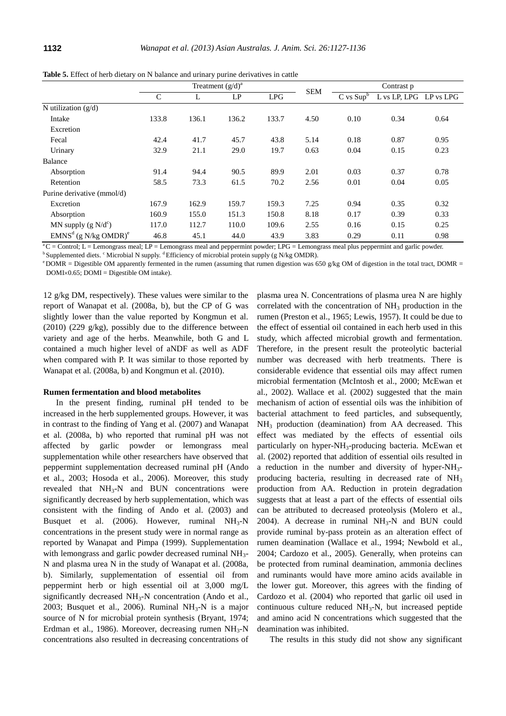|                                    | Treatment $(g/d)^a$ |       |       |       |            | Contrast p    |                        |      |
|------------------------------------|---------------------|-------|-------|-------|------------|---------------|------------------------|------|
|                                    | $\mathcal{C}$       | L     | LP    | LPG   | <b>SEM</b> | $C$ vs $Supb$ | L vs LP, LPG LP vs LPG |      |
| N utilization $(g/d)$              |                     |       |       |       |            |               |                        |      |
| Intake                             | 133.8               | 136.1 | 136.2 | 133.7 | 4.50       | 0.10          | 0.34                   | 0.64 |
| Excretion                          |                     |       |       |       |            |               |                        |      |
| Fecal                              | 42.4                | 41.7  | 45.7  | 43.8  | 5.14       | 0.18          | 0.87                   | 0.95 |
| Urinary                            | 32.9                | 21.1  | 29.0  | 19.7  | 0.63       | 0.04          | 0.15                   | 0.23 |
| Balance                            |                     |       |       |       |            |               |                        |      |
| Absorption                         | 91.4                | 94.4  | 90.5  | 89.9  | 2.01       | 0.03          | 0.37                   | 0.78 |
| Retention                          | 58.5                | 73.3  | 61.5  | 70.2  | 2.56       | 0.01          | 0.04                   | 0.05 |
| Purine derivative (mmol/d)         |                     |       |       |       |            |               |                        |      |
| Excretion                          | 167.9               | 162.9 | 159.7 | 159.3 | 7.25       | 0.94          | 0.35                   | 0.32 |
| Absorption                         | 160.9               | 155.0 | 151.3 | 150.8 | 8.18       | 0.17          | 0.39                   | 0.33 |
| MN supply $(g N/d^c)$              | 117.0               | 112.7 | 110.0 | 109.6 | 2.55       | 0.16          | 0.15                   | 0.25 |
| $EMNSd$ (g N/kg OMDR) <sup>e</sup> | 46.8                | 45.1  | 44.0  | 43.9  | 3.83       | 0.29          | 0.11                   | 0.98 |

**Table 5.** Effect of herb dietary on N balance and urinary purine derivatives in cattle

 $a<sup>a</sup>C =$ Control; L = Lemongrass meal; LP = Lemongrass meal and peppermint powder; LPG = Lemongrass meal plus peppermint and garlic powder.

 $b$ Supplemented diets.  $c$  Microbial N supply.  $d$  Efficiency of microbial protein supply (g N/kg OMDR).

<sup>e</sup>DOMR = Digestible OM apparently fermented in the rumen (assuming that rumen digestion was 650 g/kg OM of digestion in the total tract, DOMR = DOMI×0.65; DOMI = Digestible OM intake).

12 g/kg DM, respectively). These values were similar to the report of Wanapat et al. (2008a, b), but the CP of G was slightly lower than the value reported by Kongmun et al. (2010) (229 g/kg), possibly due to the difference between variety and age of the herbs. Meanwhile, both G and L contained a much higher level of aNDF as well as ADF when compared with P. It was similar to those reported by Wanapat et al. (2008a, b) and Kongmun et al. (2010).

# **Rumen fermentation and blood metabolites**

In the present finding, ruminal pH tended to be increased in the herb supplemented groups. However, it was in contrast to the finding of Yang et al. (2007) and Wanapat et al. (2008a, b) who reported that ruminal pH was not affected by garlic powder or lemongrass meal supplementation while other researchers have observed that peppermint supplementation decreased ruminal pH (Ando et al., 2003; Hosoda et al., 2006). Moreover, this study revealed that  $NH<sub>3</sub>-N$  and BUN concentrations were significantly decreased by herb supplementation, which was consistent with the finding of Ando et al. (2003) and Busquet et al. (2006). However, ruminal  $NH<sub>3</sub>-N$ concentrations in the present study were in normal range as reported by Wanapat and Pimpa (1999). Supplementation with lemongrass and garlic powder decreased ruminal NH<sub>3</sub>-N and plasma urea N in the study of Wanapat et al. (2008a, b). Similarly, supplementation of essential oil from peppermint herb or high essential oil at 3,000 mg/L significantly decreased  $NH<sub>3</sub>-N$  concentration (Ando et al., 2003; Busquet et al., 2006). Ruminal  $NH<sub>3</sub>-N$  is a major source of N for microbial protein synthesis (Bryant, 1974; Erdman et al., 1986). Moreover, decreasing rumen  $NH<sub>3</sub>-N$ concentrations also resulted in decreasing concentrations of

plasma urea N. Concentrations of plasma urea N are highly correlated with the concentration of  $NH<sub>3</sub>$  production in the rumen (Preston et al., 1965; Lewis, 1957). It could be due to the effect of essential oil contained in each herb used in this study, which affected microbial growth and fermentation. Therefore, in the present result the proteolytic bacterial number was decreased with herb treatments. There is considerable evidence that essential oils may affect rumen microbial fermentation (McIntosh et al., 2000; McEwan et al., 2002). Wallace et al. (2002) suggested that the main mechanism of action of essential oils was the inhibition of bacterial attachment to feed particles, and subsequently, NH<sup>3</sup> production (deamination) from AA decreased. This effect was mediated by the effects of essential oils particularly on hyper-NH3-producing bacteria. McEwan et al. (2002) reported that addition of essential oils resulted in a reduction in the number and diversity of hyper- $NH_3$ producing bacteria, resulting in decreased rate of NH<sub>3</sub> production from AA. Reduction in protein degradation suggests that at least a part of the effects of essential oils can be attributed to decreased proteolysis (Molero et al., 2004). A decrease in ruminal  $NH<sub>3</sub>-N$  and BUN could provide ruminal by-pass protein as an alteration effect of rumen deamination (Wallace et al., 1994; Newbold et al., 2004; Cardozo et al., 2005). Generally, when proteins can be protected from ruminal deamination, ammonia declines and ruminants would have more amino acids available in the lower gut. Moreover, this agrees with the finding of Cardozo et al. (2004) who reported that garlic oil used in continuous culture reduced  $NH<sub>3</sub>-N$ , but increased peptide and amino acid N concentrations which suggested that the deamination was inhibited.

The results in this study did not show any significant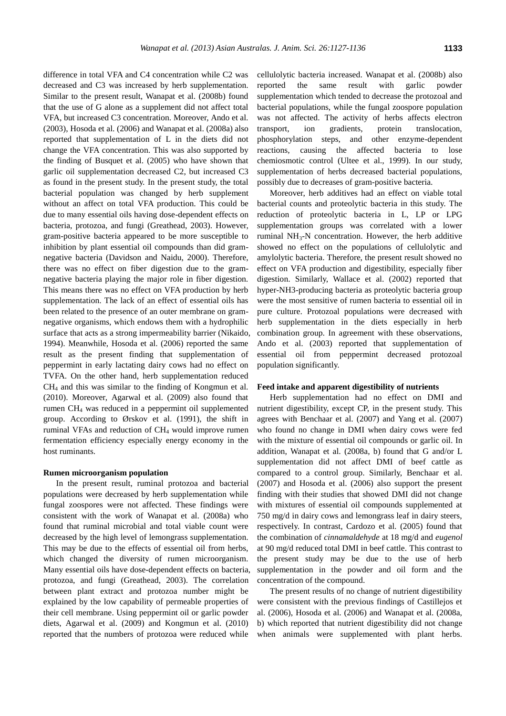difference in total VFA and C4 concentration while C2 was decreased and C3 was increased by herb supplementation. Similar to the present result, Wanapat et al. (2008b) found that the use of G alone as a supplement did not affect total VFA, but increased C3 concentration. Moreover, Ando et al. (2003), Hosoda et al. (2006) and Wanapat et al. (2008a) also reported that supplementation of L in the diets did not change the VFA concentration. This was also supported by the finding of Busquet et al. (2005) who have shown that garlic oil supplementation decreased C2, but increased C3 as found in the present study. In the present study, the total bacterial population was changed by herb supplement without an affect on total VFA production. This could be due to many essential oils having dose-dependent effects on bacteria, protozoa, and fungi (Greathead, 2003). However, gram-positive bacteria appeared to be more susceptible to inhibition by plant essential oil compounds than did gramnegative bacteria (Davidson and Naidu, 2000). Therefore, there was no effect on fiber digestion due to the gramnegative bacteria playing the major role in fiber digestion. This means there was no effect on VFA production by herb supplementation. The lack of an effect of essential oils has been related to the presence of an outer membrane on gramnegative organisms, which endows them with a hydrophilic surface that acts as a strong impermeability barrier (Nikaido, 1994). Meanwhile, Hosoda et al. (2006) reported the same result as the present finding that supplementation of peppermint in early lactating dairy cows had no effect on TVFA. On the other hand, herb supplementation reduced CH<sup>4</sup> and this was similar to the finding of Kongmun et al. (2010). Moreover, Agarwal et al. (2009) also found that rumen CH<sup>4</sup> was reduced in a peppermint oil supplemented group. According to  $\emptyset$  rskov et al. (1991), the shift in ruminal VFAs and reduction of  $CH<sub>4</sub>$  would improve rumen fermentation efficiency especially energy economy in the host ruminants.

# **Rumen microorganism population**

In the present result, ruminal protozoa and bacterial populations were decreased by herb supplementation while fungal zoospores were not affected. These findings were consistent with the work of Wanapat et al. (2008a) who found that ruminal microbial and total viable count were decreased by the high level of lemongrass supplementation. This may be due to the effects of essential oil from herbs, which changed the diversity of rumen microorganism. Many essential oils have dose-dependent effects on bacteria, protozoa, and fungi (Greathead, 2003). The correlation between plant extract and protozoa number might be explained by the low capability of permeable properties of their cell membrane. Using peppermint oil or garlic powder diets, Agarwal et al. (2009) and Kongmun et al. (2010) reported that the numbers of protozoa were reduced while

cellulolytic bacteria increased. Wanapat et al. (2008b) also reported the same result with garlic powder supplementation which tended to decrease the protozoal and bacterial populations, while the fungal zoospore population was not affected. The activity of herbs affects electron transport, ion gradients, protein translocation, phosphorylation steps, and other enzyme-dependent reactions, causing the affected bacteria to lose chemiosmotic control (Ultee et al., 1999). In our study, supplementation of herbs decreased bacterial populations, possibly due to decreases of gram-positive bacteria.

Moreover, herb additives had an effect on viable total bacterial counts and proteolytic bacteria in this study. The reduction of proteolytic bacteria in L, LP or LPG supplementation groups was correlated with a lower ruminal  $NH<sub>3</sub>-N$  concentration. However, the herb additive showed no effect on the populations of cellulolytic and amylolytic bacteria. Therefore, the present result showed no effect on VFA production and digestibility, especially fiber digestion. Similarly, Wallace et al. (2002) reported that hyper-NH3-producing bacteria as proteolytic bacteria group were the most sensitive of rumen bacteria to essential oil in pure culture. Protozoal populations were decreased with herb supplementation in the diets especially in herb combination group. In agreement with these observations, Ando et al. (2003) reported that supplementation of essential oil from peppermint decreased protozoal population significantly.

#### **Feed intake and apparent digestibility of nutrients**

Herb supplementation had no effect on DMI and nutrient digestibility, except CP, in the present study. This agrees with Benchaar et al. (2007) and Yang et al. (2007) who found no change in DMI when dairy cows were fed with the mixture of essential oil compounds or garlic oil. In addition, Wanapat et al. (2008a, b) found that G and/or L supplementation did not affect DMI of beef cattle as compared to a control group. Similarly, Benchaar et al. (2007) and Hosoda et al. (2006) also support the present finding with their studies that showed DMI did not change with mixtures of essential oil compounds supplemented at 750 mg/d in dairy cows and lemongrass leaf in dairy steers, respectively. In contrast, Cardozo et al. (2005) found that the combination of *cinnamaldehyde* at 18 mg/d and *eugenol* at 90 mg/d reduced total DMI in beef cattle. This contrast to the present study may be due to the use of herb supplementation in the powder and oil form and the concentration of the compound.

The present results of no change of nutrient digestibility were consistent with the previous findings of Castillejos et al. (2006), Hosoda et al. (2006) and Wanapat et al. (2008a, b) which reported that nutrient digestibility did not change when animals were supplemented with plant herbs.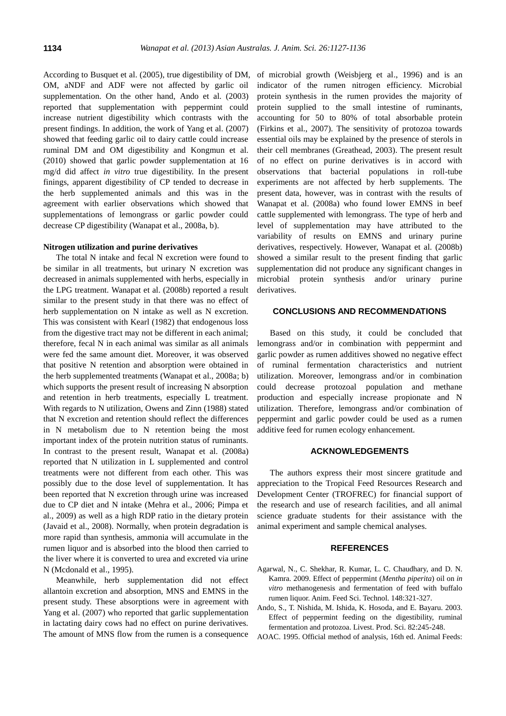According to Busquet et al. (2005), true digestibility of DM, OM, aNDF and ADF were not affected by garlic oil supplementation. On the other hand, Ando et al. (2003) reported that supplementation with peppermint could increase nutrient digestibility which contrasts with the present findings. In addition, the work of Yang et al. (2007) showed that feeding garlic oil to dairy cattle could increase ruminal DM and OM digestibility and Kongmun et al. (2010) showed that garlic powder supplementation at 16 mg/d did affect *in vitro* true digestibility. In the present finings, apparent digestibility of CP tended to decrease in the herb supplemented animals and this was in the agreement with earlier observations which showed that supplementations of lemongrass or garlic powder could decrease CP digestibility (Wanapat et al., 2008a, b).

#### **Nitrogen utilization and purine derivatives**

The total N intake and fecal N excretion were found to be similar in all treatments, but urinary N excretion was decreased in animals supplemented with herbs, especially in the LPG treatment. Wanapat et al. (2008b) reported a result similar to the present study in that there was no effect of herb supplementation on N intake as well as N excretion. This was consistent with Kearl (1982) that endogenous loss from the digestive tract may not be different in each animal; therefore, fecal N in each animal was similar as all animals were fed the same amount diet. Moreover, it was observed that positive N retention and absorption were obtained in the herb supplemented treatments (Wanapat et al., 2008a; b) which supports the present result of increasing N absorption and retention in herb treatments, especially L treatment. With regards to N utilization, Owens and Zinn (1988) stated that N excretion and retention should reflect the differences in N metabolism due to N retention being the most important index of the protein nutrition status of ruminants. In contrast to the present result, Wanapat et al. (2008a) reported that N utilization in L supplemented and control treatments were not different from each other. This was possibly due to the dose level of supplementation. It has been reported that N excretion through urine was increased due to CP diet and N intake (Mehra et al., 2006; Pimpa et al., 2009) as well as a high RDP ratio in the dietary protein (Javaid et al., 2008). Normally, when protein degradation is more rapid than synthesis, ammonia will accumulate in the rumen liquor and is absorbed into the blood then carried to the liver where it is converted to urea and excreted via urine N (Mcdonald et al., 1995).

Meanwhile, herb supplementation did not effect allantoin excretion and absorption, MNS and EMNS in the present study. These absorptions were in agreement with Yang et al. (2007) who reported that garlic supplementation in lactating dairy cows had no effect on purine derivatives. The amount of MNS flow from the rumen is a consequence

of microbial growth (Weisbjerg et al., 1996) and is an indicator of the rumen nitrogen efficiency. Microbial protein synthesis in the rumen provides the majority of protein supplied to the small intestine of ruminants, accounting for 50 to 80% of total absorbable protein (Firkins et al., 2007). The sensitivity of protozoa towards essential oils may be explained by the presence of sterols in their cell membranes (Greathead, 2003). The present result of no effect on purine derivatives is in accord with observations that bacterial populations in roll-tube experiments are not affected by herb supplements. The present data, however, was in contrast with the results of Wanapat et al. (2008a) who found lower EMNS in beef cattle supplemented with lemongrass. The type of herb and level of supplementation may have attributed to the variability of results on EMNS and urinary purine derivatives, respectively. However, Wanapat et al. (2008b) showed a similar result to the present finding that garlic supplementation did not produce any significant changes in microbial protein synthesis and/or urinary purine derivatives.

# **CONCLUSIONS AND RECOMMENDATIONS**

Based on this study, it could be concluded that lemongrass and/or in combination with peppermint and garlic powder as rumen additives showed no negative effect of ruminal fermentation characteristics and nutrient utilization. Moreover, lemongrass and/or in combination could decrease protozoal population and methane production and especially increase propionate and N utilization. Therefore, lemongrass and/or combination of peppermint and garlic powder could be used as a rumen additive feed for rumen ecology enhancement.

## **ACKNOWLEDGEMENTS**

The authors express their most sincere gratitude and appreciation to the Tropical Feed Resources Research and Development Center (TROFREC) for financial support of the research and use of research facilities, and all animal science graduate students for their assistance with the animal experiment and sample chemical analyses.

## **REFERENCES**

- Agarwal, N., C. Shekhar, R. Kumar, L. C. Chaudhary, and D. N. Kamra. 2009. Effect of peppermint (*Mentha piperita*) oil on *in vitro* methanogenesis and fermentation of feed with buffalo rumen liquor. Anim. Feed Sci. Technol. 148:321-327.
- Ando, S., T. Nishida, M. Ishida, K. Hosoda, and E. Bayaru. 2003. Effect of peppermint feeding on the digestibility, ruminal fermentation and protozoa. Livest. Prod. Sci. 82:245-248.
- AOAC. 1995. Official method of analysis, 16th ed. Animal Feeds: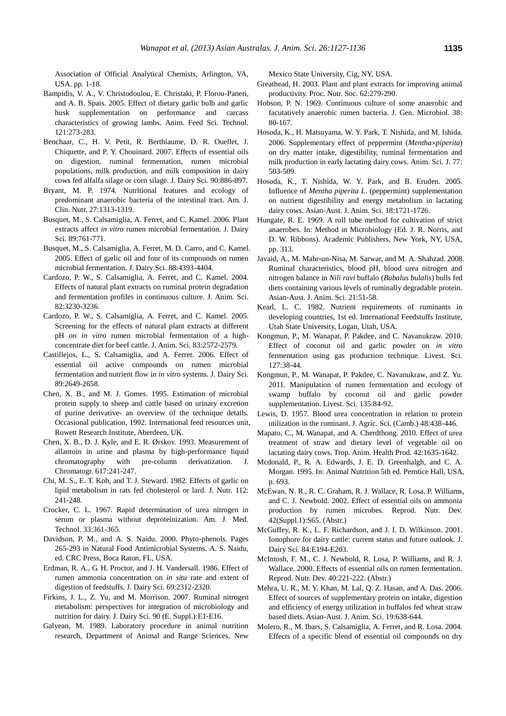Association of Official Analytical Chemists, Arlington, VA, USA. pp. 1-18.

- Bampidis, V. A., V. Christodoulou, E. Christaki, P. Florou-Paneri, and A. B. Spais. 2005. Effect of dietary garlic bulb and garlic husk supplementation on performance and carcass characteristics of growing lambs. Anim. Feed Sci. Technol. 121:273-283.
- Benchaar, C., H. V. Petit, R. Berthiaume, D. R. Ouellet, J. Chiquette, and P. Y. Chouinard. 2007. Effects of essential oils on digestion, ruminal fermentation, rumen microbial populations, milk production, and milk composition in dairy cows fed alfalfa silage or corn silage. J. Dairy Sci. 90:886-897.
- Bryant, M. P. 1974. Nutritional features and ecology of predominant anaerobic bacteria of the intestinal tract. Am. J. Clin. Nutr. 27:1313-1319.
- Busquet, M., S. Calsamiglia, A. Ferret, and C. Kamel. 2006. Plant extracts affect *in vitro* rumen microbial fermentation. J. Dairy Sci. 89:761-771.
- Busquet, M., S. Calsamiglia, A. Ferret, M. D. Carro, and C. Kamel. 2005. Effect of garlic oil and four of its compounds on rumen microbial fermentation. J. Dairy Sci. 88:4393-4404.
- Cardozo, P. W., S. Calsamiglia, A. Ferret, and C. Kamel. 2004. Effects of natural plant extracts on ruminal protein degradation and fermentation profiles in continuous culture. J. Anim. Sci. 82:3230-3236.
- Cardozo, P. W., S. Calsamiglia, A. Ferret, and C. Kamel. 2005. Screening for the effects of natural plant extracts at different pH on *in vitro* rumen microbial fermentation of a highconcentrate diet for beef cattle. J. Anim. Sci. 83:2572-2579.
- Castillejos, L., S. Calsamiglia, and A. Ferret. 2006. Effect of essential oil active compounds on rumen microbial fermentation and nutrient flow in *in vitro* systems. J. Dairy Sci. 89:2649-2658.
- Chen, X. B., and M. J. Gomes. 1995. Estimation of microbial protein supply to sheep and cattle based on urinary excretion of purine derivative- an overview of the technique details. Occasional publication, 1992. International feed resources unit, Rowett Research Institute, Aberdeen, UK.
- Chen, X. B., D. J. Kyle, and E. R. Ø rskov. 1993. Measurement of allantoin in urine and plasma by high-performance liquid chromatography with pre-column derivatization. J. Chromatogr. 617:241-247.
- Chi, M. S., E. T. Koh, and T. J. Steward. 1982. Effects of garlic on lipid metabolism in rats fed cholesterol or lard. J. Nutr. 112: 241-248.
- Crocker, C. L. 1967. Rapid determination of urea nitrogen in serum or plasma without deproteinization. Am. J. Med. Technol. 33:361-365.
- Davidson, P. M., and A. S. Naidu. 2000. Phyto-phenols. Pages 265-293 in Natural Food Antimicrobial Systems. A. S. Naidu, ed. CRC Press, Boca Raton, FL, USA.
- Erdman, R. A., G. H. Proctor, and J. H. Vandersall. 1986. Effect of rumen ammonia concentration on *in situ* rate and extent of digestion of feedstuffs. J. Dairy Sci. 69:2312-2320.
- Firkins, J. L., Z. Yu, and M. Morrison. 2007. Ruminal nitrogen metabolism: perspectives for integration of microbiology and nutrition for dairy. J. Dairy Sci. 90 (E. Suppl.):E1-E16.
- Galyean, M. 1989. Laboratory procedure in animal nutrition research, Department of Animal and Range Sciences, New

Mexico State University, Cig, NY, USA.

- Greathead, H. 2003. Plant and plant extracts for improving animal productivity. Proc. Nutr. Soc. 62:279-290.
- Hobson, P. N. 1969. Continuous culture of some anaerobic and facutatively anaerobic rumen bacteria. J. Gen. Microbiol. 38: 80-167.
- Hosoda, K., H. Matsuyama, W. Y. Park, T. Nishida, and M. Ishida. 2006. Supplementary effect of peppermint (*Menthapiperita*) on dry matter intake, digestibility, ruminal fermentation and milk production in early lactating dairy cows. Anim. Sci. J. 77: 503-509.
- Hosoda, K., T. Nishida, W. Y. Park, and B. Eruden. 2005. Influence of *Mentha piperita L*. (peppermint) supplementation on nutrient digestibility and energy metabolism in lactating dairy cows. Asian-Aust. J. Anim. Sci. 18:1721-1726.
- Hungate, R. E. 1969. A roll tube method for cultivation of strict anaerobes. In: Method in Microbiology (Ed. J. R. Norris, and D. W. Ribbons). Academic Publishers, New York, NY, USA, pp. 313.
- Javaid, A., M. Mahr-un-Nisa, M. Sarwar, and M. A. Shahzad. 2008. Ruminal characteristics, blood pH, blood urea nitrogen and nitrogen balance in *Nili ravi* buffalo (*Bubalus bulalis*) bulls fed diets containing various levels of ruminally degradable protein. Asian-Aust. J. Anim. Sci. 21:51-58.
- Kearl, L. C. 1982. Nutrient requirements of ruminants in developing countries, 1st ed. International Feedstuffs Institute, Utah State University, Logan, Utah, USA.
- Kongmun, P., M. Wanapat, P. Pakdee, and C. Navanukraw. 2010. Effect of coconut oil and garlic powder on *in vitro* fermentation using gas production technique. Livest. Sci. 127:38-44.
- Kongmun, P., M. Wanapat, P. Pakdee, C. Navanukraw, and Z. Yu. 2011. Manipulation of rumen fermentation and ecology of swamp buffalo by coconut oil and garlic powder supplementation. Livest. Sci. 135:84-92.
- Lewis, D. 1957. Blood urea concentration in relation to protein utilization in the ruminant. J. Agric. Sci. (Camb.) 48:438-446.
- Mapato, C., M. Wanapat, and A. Cherdthong. 2010. Effect of urea treatment of straw and dietary level of vegetable oil on lactating dairy cows. Trop. Anim. Health Prod. 42:1635-1642.
- Mcdonald, P., R. A. Edwards, J. E. D. Greenhalgh, and C. A. Morgan. 1995. In: Animal Nutrition 5th ed. Perntice Hall, USA, p. 693.
- McEwan, N. R., R. C. Graham, R. J. Wallace, R. Losa, P. Williams, and C. J. Newbold. 2002. Effect of essential oils on ammonia production by rumen microbes. Reprod. Nutr. Dev. 42(Suppl.1):S65. (Abstr.)
- McGuffey, R. K., L. F. Richardson, and J. I. D. Wilkinson. 2001. Ionophore for dairy cattle: current status and future outlook. J. Dairy Sci. 84:E194-E203.
- McIntosh, F. M., C. J. Newbold, R. Losa, P. Williams, and R. J. Wallace. 2000. Effects of essential oils on rumen fermentation. Reprod. Nutr. Dev. 40:221-222. (Abstr.)
- Mehra, U. R., M. Y. Khan, M. Lal, Q. Z. Hasan, and A. Das. 2006. Effect of sources of supplementary protein on intake, digestion and efficiency of energy utilization in buffalos fed wheat straw based diets. Asian-Aust. J. Anim. Sci. 19:638-644.
- Molero, R., M. Ibars, S. Calsamiglia, A. Ferret, and R. Losa. 2004. Effects of a specific blend of essential oil compounds on dry